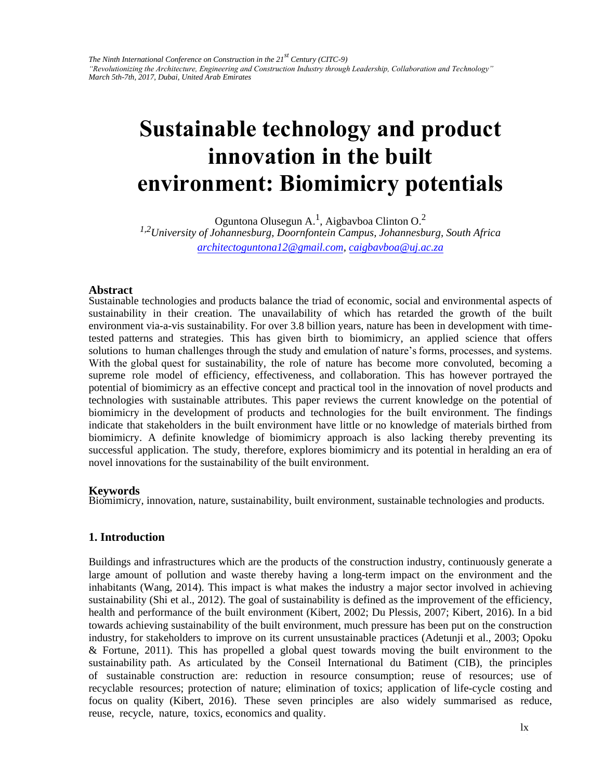# **Sustainable technology and product innovation in the built envir[onment: Biomimicry pote](mailto:architectoguntona12@gmail.com,)ntials**

Oguntona Olusegun A.<sup>1</sup>, Aigbavboa Clinton O.<sup>2</sup> *1,2University of Johannesburg, Doornfontein Campus, Johannesburg, South Africa architectoguntona12@gmail.com, caigbavboa@uj.ac.za*

#### **Abstract**

Sustainable technologies and products balance the triad of economic, social and environmental aspects of sustainability in their creation. The unavailability of which has retarded the growth of the built environment via-a-vis sustainability. For over 3.8 billion years, nature has been in development with timetested patterns and strategies. This has given birth to biomimicry, an applied science that offers solutions to human challenges through the study and emulation of nature's forms, processes, and systems. With the global quest for sustainability, the role of nature has become more convoluted, becoming a supreme role model of efficiency, effectiveness, and collaboration. This has however portrayed the potential of biomimicry as an effective concept and practical tool in the innovation of novel products and technologies with sustainable attributes. This paper reviews the current knowledge on the potential of biomimicry in the development of products and technologies for the built environment. The findings indicate that stakeholders in the built environment have little or no knowledge of materials birthed from biomimicry. A definite knowledge of biomimicry approach is also lacking thereby preventing its successful application. The study, therefore, explores biomimicry and its potential in heralding an era of novel innovations for the sustainability of the built environment.

#### **Keywords**

Biomimicry, innovation, nature, sustainability, built environment, sustainable technologies and products.

## **1. Introduction**

Buildings and infrastructures which are the products of the construction industry, continuously generate a large amount of pollution and waste thereby having a long-term impact on the environment and the inhabitants (Wang, 2014). This impact is what makes the industry a major sector involved in achieving sustainability (Shi et al., 2012). The goal of sustainability is defined as the improvement of the efficiency, health and performance of the built environment (Kibert, 2002; Du Plessis, 2007; Kibert, 2016). In a bid towards achieving sustainability of the built environment, much pressure has been put on the construction industry, for stakeholders to improve on its current unsustainable practices (Adetunji et al., 2003; Opoku & Fortune, 2011). This has propelled a global quest towards moving the built environment to the sustainability path. As articulated by the Conseil International du Batiment (CIB), the principles of sustainable construction are: reduction in resource consumption; reuse of resources; use of recyclable resources; protection of nature; elimination of toxics; application of life-cycle costing and focus on quality (Kibert, 2016). These seven principles are also widely summarised as reduce, reuse, recycle, nature, toxics, economics and quality.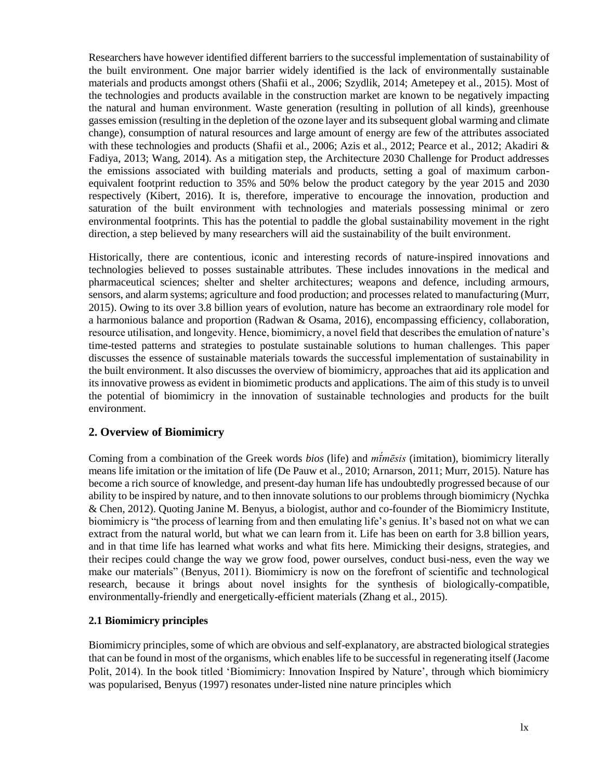Researchers have however identified different barriers to the successful implementation of sustainability of the built environment. One major barrier widely identified is the lack of environmentally sustainable materials and products amongst others (Shafii et al., 2006; Szydlik, 2014; Ametepey et al., 2015). Most of the technologies and products available in the construction market are known to be negatively impacting the natural and human environment. Waste generation (resulting in pollution of all kinds), greenhouse gasses emission (resulting in the depletion of the ozone layer and its subsequent global warming and climate change), consumption of natural resources and large amount of energy are few of the attributes associated with these technologies and products (Shafii et al., 2006; Azis et al., 2012; Pearce et al., 2012; Akadiri & Fadiya, 2013; Wang, 2014). As a mitigation step, the Architecture 2030 Challenge for Product addresses the emissions associated with building materials and products, setting a goal of maximum carbonequivalent footprint reduction to 35% and 50% below the product category by the year 2015 and 2030 respectively (Kibert, 2016). It is, therefore, imperative to encourage the innovation, production and saturation of the built environment with technologies and materials possessing minimal or zero environmental footprints. This has the potential to paddle the global sustainability movement in the right direction, a step believed by many researchers will aid the sustainability of the built environment.

Historically, there are contentious, iconic and interesting records of nature-inspired innovations and technologies believed to posses sustainable attributes. These includes innovations in the medical and pharmaceutical sciences; shelter and shelter architectures; weapons and defence, including armours, sensors, and alarm systems; agriculture and food production; and processes related to manufacturing (Murr, 2015). Owing to its over 3.8 billion years of evolution, nature has become an extraordinary role model for a harmonious balance and proportion (Radwan & Osama, 2016), encompassing efficiency, collaboration, resource utilisation, and longevity. Hence, biomimicry, a novel field that describes the emulation of nature's time-tested patterns and strategies to postulate sustainable solutions to human challenges. This paper discusses the essence of sustainable materials towards the successful implementation of sustainability in the built environment. It also discusses the overview of biomimicry, approaches that aid its application and its innovative prowess as evident in biomimetic products and applications. The aim of this study is to unveil the potential of biomimicry in the innovation of sustainable technologies and products for the built environment.

## **2. Overview of Biomimicry**

Coming from a combination of the Greek words *bios* (life) and *mī́mēsis* (imitation), biomimicry literally means life imitation or the imitation of life (De Pauw et al., 2010; Arnarson, 2011; Murr, 2015). Nature has become a rich source of knowledge, and present-day human life has undoubtedly progressed because of our ability to be inspired by nature, and to then innovate solutions to our problems through biomimicry (Nychka & Chen, 2012). Quoting Janine M. Benyus, a biologist, author and co-founder of the Biomimicry Institute, biomimicry is "the process of learning from and then emulating life's genius. It's based not on what we can extract from the natural world, but what we can learn from it. Life has been on earth for 3.8 billion years, and in that time life has learned what works and what fits here. Mimicking their designs, strategies, and their recipes could change the way we grow food, power ourselves, conduct busi-ness, even the way we make our materials" (Benyus, 2011). Biomimicry is now on the forefront of scientific and technological research, because it brings about novel insights for the synthesis of biologically-compatible, environmentally-friendly and energetically-efficient materials (Zhang et al., 2015).

## **2.1 Biomimicry principles**

Biomimicry principles, some of which are obvious and self-explanatory, are abstracted biological strategies that can be found in most of the organisms, which enables life to be successful in regenerating itself (Jacome Polit, 2014). In the book titled 'Biomimicry: Innovation Inspired by Nature', through which biomimicry was popularised, Benyus (1997) resonates under-listed nine nature principles which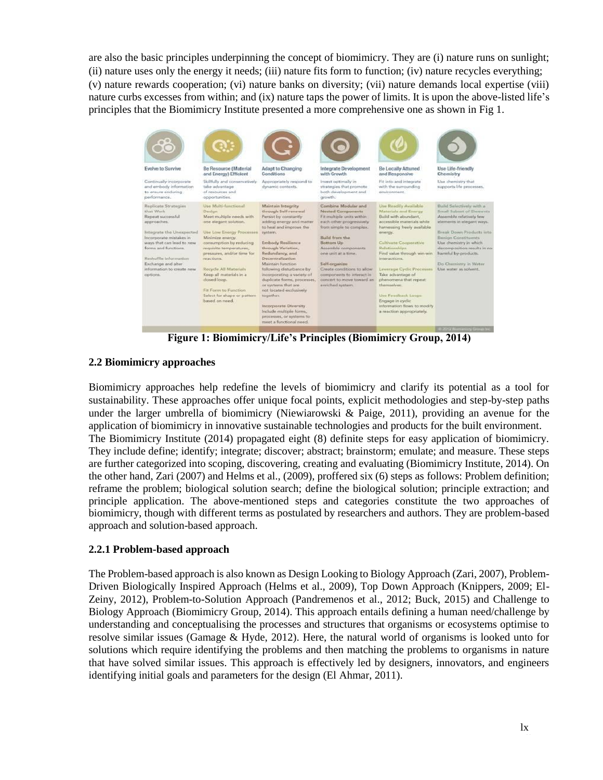are also the basic principles underpinning the concept of biomimicry. They are (i) nature runs on sunlight; (ii) nature uses only the energy it needs; (iii) nature fits form to function; (iv) nature recycles everything; (v) nature rewards cooperation; (vi) nature banks on diversity; (vii) nature demands local expertise (viii) nature curbs excesses from within; and (ix) nature taps the power of limits. It is upon the above-listed life's principles that the Biomimicry Institute presented a more comprehensive one as shown in Fig 1.

| 98<br>Evolve to Survive<br>Continually incorporate<br>and embody information                                                                                                                                                                                               | Be Resource (Material<br>and Energy) Efficient<br>Skillfully and conservatively<br>take advantage                                                                                                                                                                                                                                                                                         | Adapt to Changing<br><b>Conditions</b><br>Appropriately respond to<br>dynamic contexts.                                                                                                                                                                                                                                                                                                                                                                                                                     | Integrate Development<br>with Growth<br>Invest optimally in<br>strategies that promote                                                                                                                                                                                                                                                               | <b>Be Locally Attuned</b><br>and Responsive<br>Fit into and integrate<br>with the surrounding                                                                                                                                                                                                                                                                                                                                          | Use Life-friendly<br>Chemistry<br>Use chemistry that<br>supports life processes.                                                                                                                                                                                                                    |
|----------------------------------------------------------------------------------------------------------------------------------------------------------------------------------------------------------------------------------------------------------------------------|-------------------------------------------------------------------------------------------------------------------------------------------------------------------------------------------------------------------------------------------------------------------------------------------------------------------------------------------------------------------------------------------|-------------------------------------------------------------------------------------------------------------------------------------------------------------------------------------------------------------------------------------------------------------------------------------------------------------------------------------------------------------------------------------------------------------------------------------------------------------------------------------------------------------|------------------------------------------------------------------------------------------------------------------------------------------------------------------------------------------------------------------------------------------------------------------------------------------------------------------------------------------------------|----------------------------------------------------------------------------------------------------------------------------------------------------------------------------------------------------------------------------------------------------------------------------------------------------------------------------------------------------------------------------------------------------------------------------------------|-----------------------------------------------------------------------------------------------------------------------------------------------------------------------------------------------------------------------------------------------------------------------------------------------------|
| to ensure enduring<br>performance.                                                                                                                                                                                                                                         | of reasonness and<br>opportunities.                                                                                                                                                                                                                                                                                                                                                       |                                                                                                                                                                                                                                                                                                                                                                                                                                                                                                             | both development and<br>arowth.                                                                                                                                                                                                                                                                                                                      | environment.                                                                                                                                                                                                                                                                                                                                                                                                                           |                                                                                                                                                                                                                                                                                                     |
| Replicate Strategies<br>that Work<br>Repeat successful<br>approaches.<br>Integrate the Unexpected<br>Incorporate mistakes in<br>ways that can lead to new.<br>forms and functions.<br>Reshuffle Information<br>Exchange and alter<br>information to create new<br>options. | Use Multi-functional<br>Design<br>Meet multiple needs with<br>one elegant solution.<br>Use Low Energy Processes system.<br>Minimize energy<br>consumption by reducing<br>requisite temperatures,<br>pressures, and/or time for<br>reactions:<br>Recycle All Materials<br>Keep all materials in a<br>dosed loop.<br>Fit Form to Function.<br>Select for shape or pattern<br>based on need. | Maintain Integrity<br>through Self-renewal<br>Persist by constantly<br>adding energy and matter<br>to heal and improve the<br>Embody Resilience<br>through Variation,<br>Redundancy, and<br>Decembralization<br>Maintain function<br>following disturbance by<br>incorporating a variety of<br>duplicate forms, processes,<br>or systems that are<br>not located exclusively<br>together.<br><b>Incorporate Diversity</b><br>Include multiple forms.<br>processes, or systems to<br>meet a functional need. | Combine Modular and<br><b>Nested Components</b><br>Fit multiple units within<br>each other progressively<br>from simple to complex.<br>Realled forcess than<br>Bottom Up<br>Assemble components<br>one unit at a time.<br>Self-prijanize<br>Create conditions to allow<br>components to interact in<br>concert to move toward an<br>anriched system. | Use Readily Available<br>Materials and Energy<br>Build with abundant.<br>accessible materials while<br>hamessing freely available<br>energy.<br>Cultivate Cooperative<br>Relationships<br>Find value through win-win-<br>interactions.<br>Leverage Cyclic Processes<br>Take advantage of<br>phenomena that repeat<br>themselves.<br>Use Feedback Loopy<br>Engage in cyclic<br>information flows to modify<br>a reaction appropriately. | Build Selectively with a<br>Senall Subset of Elements<br>Assemble relatively few<br>elements in elegant ways.<br>Break Down Products into<br>Benign Constituents<br>Use chemistry in which<br>decomposition results in no<br>harmful by-products.<br>Do Chemistry in Water<br>Use water as solvent. |
|                                                                                                                                                                                                                                                                            |                                                                                                                                                                                                                                                                                                                                                                                           |                                                                                                                                                                                                                                                                                                                                                                                                                                                                                                             |                                                                                                                                                                                                                                                                                                                                                      |                                                                                                                                                                                                                                                                                                                                                                                                                                        | o 2012 Remaining Group Inc.                                                                                                                                                                                                                                                                         |

**Figure 1: Biomimicry/Life's Principles (Biomimicry Group, 2014)**

## **2.2 Biomimicry approaches**

Biomimicry approaches help redefine the levels of biomimicry and clarify its potential as a tool for sustainability. These approaches offer unique focal points, explicit methodologies and step-by-step paths under the larger umbrella of biomimicry (Niewiarowski & Paige, 2011), providing an avenue for the application of biomimicry in innovative sustainable technologies and products for the built environment. The Biomimicry Institute (2014) propagated eight (8) definite steps for easy application of biomimicry. They include define; identify; integrate; discover; abstract; brainstorm; emulate; and measure. These steps are further categorized into scoping, discovering, creating and evaluating (Biomimicry Institute, 2014). On the other hand, Zari (2007) and Helms et al., (2009), proffered six (6) steps as follows: Problem definition; reframe the problem; biological solution search; define the biological solution; principle extraction; and principle application. The above-mentioned steps and categories constitute the two approaches of biomimicry, though with different terms as postulated by researchers and authors. They are problem-based approach and solution-based approach.

## **2.2.1 Problem-based approach**

The Problem-based approach is also known as Design Looking to Biology Approach (Zari, 2007), Problem-Driven Biologically Inspired Approach (Helms et al., 2009), Top Down Approach (Knippers, 2009; El-Zeiny, 2012), Problem-to-Solution Approach (Pandremenos et al., 2012; Buck, 2015) and Challenge to Biology Approach (Biomimicry Group, 2014). This approach entails defining a human need/challenge by understanding and conceptualising the processes and structures that organisms or ecosystems optimise to resolve similar issues (Gamage & Hyde, 2012). Here, the natural world of organisms is looked unto for solutions which require identifying the problems and then matching the problems to organisms in nature that have solved similar issues. This approach is effectively led by designers, innovators, and engineers identifying initial goals and parameters for the design (El Ahmar, 2011).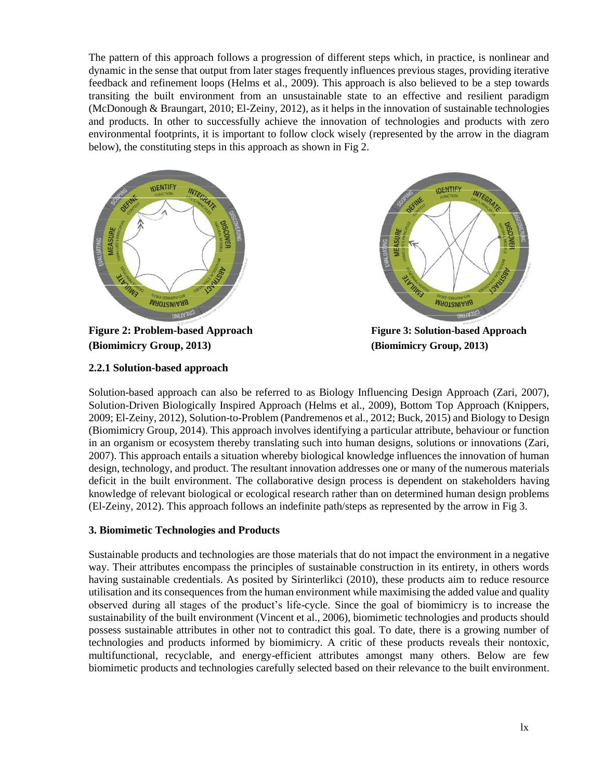The pattern of this approach follows a progression of different steps which, in practice, is nonlinear and dynamic in the sense that output from later stages frequently influences previous stages, providing iterative feedback and refinement loops (Helms et al., 2009). This approach is also believed to be a step towards transiting the built environment from an unsustainable state to an effective and resilient paradigm (McDonough & Braungart, 2010; El-Zeiny, 2012), as it helps in the innovation of sustainable technologies and products. In other to successfully achieve the innovation of technologies and products with zero environmental footprints, it is important to follow clock wisely (represented by the arrow in the diagram below), the constituting steps in this approach as shown in Fig 2.



**Figure 2: Problem-based Approach Figure 3: Solution-based Approach (Biomimicry Group, 2013) (Biomimicry Group, 2013)**



## **2.2.1 Solution-based approach**

Solution-based approach can also be referred to as Biology Influencing Design Approach (Zari, 2007), Solution-Driven Biologically Inspired Approach (Helms et al., 2009), Bottom Top Approach (Knippers, 2009; El-Zeiny, 2012), Solution-to-Problem (Pandremenos et al., 2012; Buck, 2015) and Biology to Design (Biomimicry Group, 2014). This approach involves identifying a particular attribute, behaviour or function in an organism or ecosystem thereby translating such into human designs, solutions or innovations (Zari, 2007). This approach entails a situation whereby biological knowledge influences the innovation of human design, technology, and product. The resultant innovation addresses one or many of the numerous materials deficit in the built environment. The collaborative design process is dependent on stakeholders having knowledge of relevant biological or ecological research rather than on determined human design problems (El-Zeiny, 2012). This approach follows an indefinite path/steps as represented by the arrow in Fig 3.

#### **3. Biomimetic Technologies and Products**

Sustainable products and technologies are those materials that do not impact the environment in a negative way. Their attributes encompass the principles of sustainable construction in its entirety, in others words having sustainable credentials. As posited by Sirinterlikci (2010), these products aim to reduce resource utilisation and its consequences from the human environment while maximising the added value and quality observed during all stages of the product's life-cycle. Since the goal of biomimicry is to increase the sustainability of the built environment (Vincent et al., 2006), biomimetic technologies and products should possess sustainable attributes in other not to contradict this goal. To date, there is a growing number of technologies and products informed by biomimicry. A critic of these products reveals their nontoxic, multifunctional, recyclable, and energy-efficient attributes amongst many others. Below are few biomimetic products and technologies carefully selected based on their relevance to the built environment.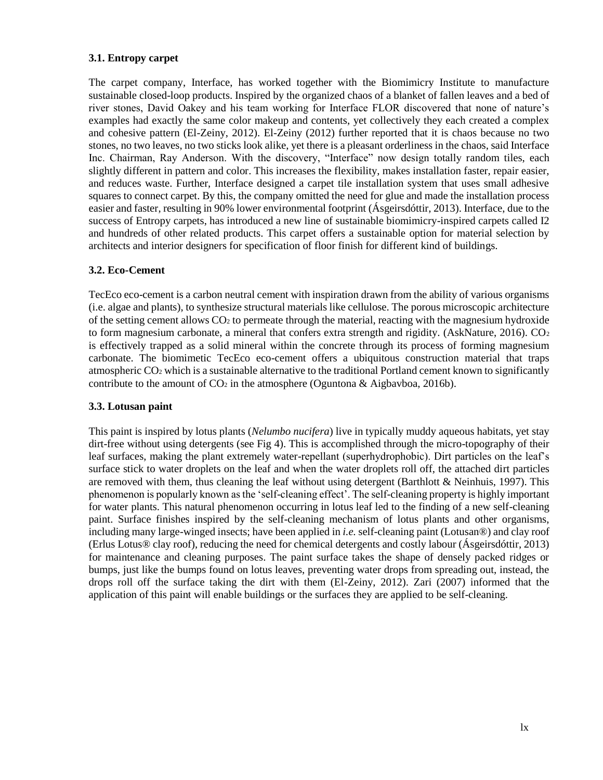#### **3.1. Entropy carpet**

The carpet company, Interface, has worked together with the Biomimicry Institute to manufacture sustainable closed-loop products. Inspired by the organized chaos of a blanket of fallen leaves and a bed of river stones, David Oakey and his team working for Interface FLOR discovered that none of nature's examples had exactly the same color makeup and contents, yet collectively they each created a complex and cohesive pattern (El-Zeiny, 2012). El-Zeiny (2012) further reported that it is chaos because no two stones, no two leaves, no two sticks look alike, yet there is a pleasant orderliness in the chaos, said Interface Inc. Chairman, Ray Anderson. With the discovery, "Interface" now design totally random tiles, each slightly different in pattern and color. This increases the flexibility, makes installation faster, repair easier, and reduces waste. Further, Interface designed a carpet tile installation system that uses small adhesive squares to connect carpet. By this, the company omitted the need for glue and made the installation process easier and faster, resulting in 90% lower environmental footprint (Ásgeirsdóttir, 2013). Interface, due to the success of Entropy carpets, has introduced a new line of sustainable biomimicry-inspired carpets called I2 and hundreds of other related products. This carpet offers a sustainable option for material selection by architects and interior designers for specification of floor finish for different kind of buildings.

#### **3.2. Eco-Cement**

TecEco eco-cement is a carbon neutral cement with inspiration drawn from the ability of various organisms (i.e. algae and plants), to synthesize structural materials like cellulose. The porous microscopic architecture of the setting cement allows  $CO<sub>2</sub>$  to permeate through the material, reacting with the magnesium hydroxide to form magnesium carbonate, a mineral that confers extra strength and rigidity. (AskNature,  $2016$ ).  $CO<sub>2</sub>$ is effectively trapped as a solid mineral within the concrete through its process of forming magnesium carbonate. The biomimetic TecEco eco-cement offers a ubiquitous construction material that traps atmospheric CO<sup>2</sup> which is a sustainable alternative to the traditional Portland cement known to significantly contribute to the amount of  $CO<sub>2</sub>$  in the atmosphere (Oguntona & Aigbavboa, 2016b).

#### **3.3. Lotusan paint**

This paint is inspired by lotus plants (*Nelumbo nucifera*) live in typically muddy aqueous habitats, yet stay dirt-free without using detergents (see Fig 4). This is accomplished through the micro-topography of their leaf surfaces, making the plant extremely water-repellant (superhydrophobic). Dirt particles on the leaf's surface stick to water droplets on the leaf and when the water droplets roll off, the attached dirt particles are removed with them, thus cleaning the leaf without using detergent (Barthlott & Neinhuis, 1997). This phenomenon is popularly known as the 'self-cleaning effect'. The self-cleaning property is highly important for water plants. This natural phenomenon occurring in lotus leaf led to the finding of a new self-cleaning paint. Surface finishes inspired by the self-cleaning mechanism of lotus plants and other organisms, including many large-winged insects; have been applied in *i.e.* self-cleaning paint (Lotusan®) and clay roof (Erlus Lotus® clay roof), reducing the need for chemical detergents and costly labour (Ásgeirsdóttir, 2013) for maintenance and cleaning purposes. The paint surface takes the shape of densely packed ridges or bumps, just like the bumps found on lotus leaves, preventing water drops from spreading out, instead, the drops roll off the surface taking the dirt with them (El-Zeiny, 2012). Zari (2007) informed that the application of this paint will enable buildings or the surfaces they are applied to be self-cleaning.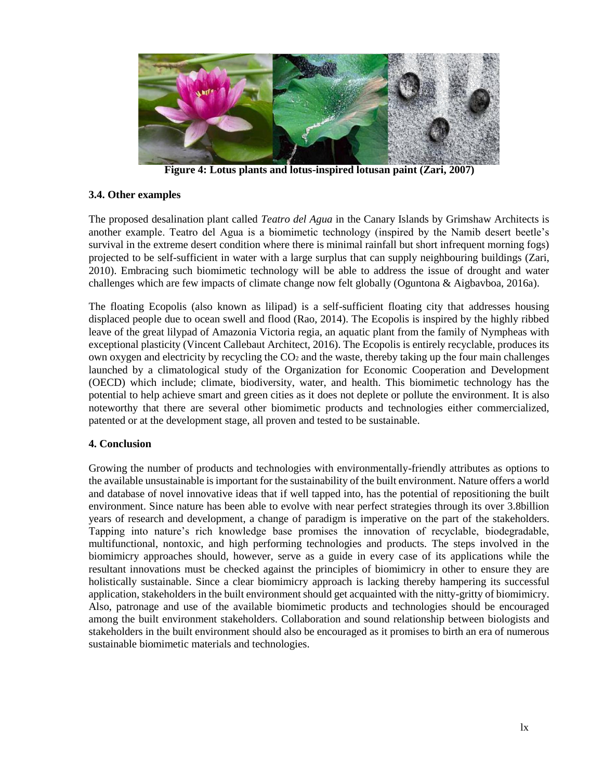

**Figure 4: Lotus plants and lotus-inspired lotusan paint (Zari, 2007)**

#### **3.4. Other examples**

The proposed desalination plant called *Teatro del Agua* in the Canary Islands by Grimshaw Architects is another example. Teatro del Agua is a biomimetic technology (inspired by the Namib desert beetle's survival in the extreme desert condition where there is minimal rainfall but short infrequent morning fogs) projected to be self-sufficient in water with a large surplus that can supply neighbouring buildings (Zari, 2010). Embracing such biomimetic technology will be able to address the issue of drought and water challenges which are few impacts of climate change now felt globally (Oguntona & Aigbavboa, 2016a).

The floating Ecopolis (also known as lilipad) is a self-sufficient floating city that addresses housing displaced people due to ocean swell and flood (Rao, 2014). The Ecopolis is inspired by the highly ribbed leave of the great lilypad of Amazonia Victoria regia, an aquatic plant from the family of Nympheas with exceptional plasticity (Vincent Callebaut Architect, 2016). The Ecopolis is entirely recyclable, produces its own oxygen and electricity by recycling the CO<sub>2</sub> and the waste, thereby taking up the four main challenges launched by a climatological study of the Organization for Economic Cooperation and Development (OECD) which include; climate, biodiversity, water, and health. This biomimetic technology has the potential to help achieve smart and green cities as it does not deplete or pollute the environment. It is also noteworthy that there are several other biomimetic products and technologies either commercialized, patented or at the development stage, all proven and tested to be sustainable.

## **4. Conclusion**

Growing the number of products and technologies with environmentally-friendly attributes as options to the available unsustainable is important for the sustainability of the built environment. Nature offers a world and database of novel innovative ideas that if well tapped into, has the potential of repositioning the built environment. Since nature has been able to evolve with near perfect strategies through its over 3.8billion years of research and development, a change of paradigm is imperative on the part of the stakeholders. Tapping into nature's rich knowledge base promises the innovation of recyclable, biodegradable, multifunctional, nontoxic, and high performing technologies and products. The steps involved in the biomimicry approaches should, however, serve as a guide in every case of its applications while the resultant innovations must be checked against the principles of biomimicry in other to ensure they are holistically sustainable. Since a clear biomimicry approach is lacking thereby hampering its successful application, stakeholders in the built environment should get acquainted with the nitty-gritty of biomimicry. Also, patronage and use of the available biomimetic products and technologies should be encouraged among the built environment stakeholders. Collaboration and sound relationship between biologists and stakeholders in the built environment should also be encouraged as it promises to birth an era of numerous sustainable biomimetic materials and technologies.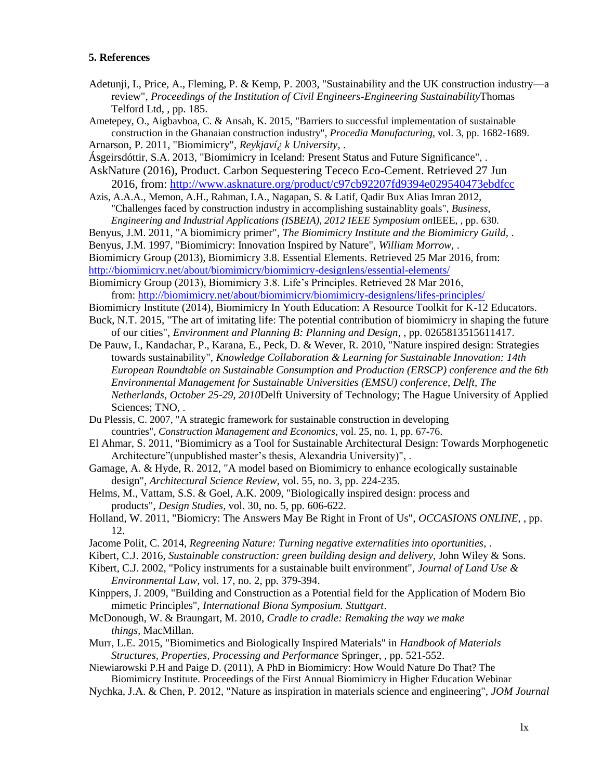#### **5. References**

- Adetunji, I., Price, A., Fleming, P. & Kemp, P. 2003, "Sustainability and the UK construction industry—a review", *Proceedings of the Institution of Civil Engineers-Engineering Sustainability*Thomas Telford Ltd, , pp. 185.
- Ametepey, O., Aigbavboa, C. & Ansah, K. 2015, "Barriers to successful implementation of sustainable construction in the Ghanaian construction industry", *Procedia Manufacturing,* vol. 3, pp. 1682-1689.

Arnarson, P. 2011, "Biomimicry", *Reykjaví¿ k University,* .

- Ásgeirsdóttir, S.A. 2013, "Biomimicry in Iceland: Present Status and Future Significance", .
- AskNature (2016), Product. Carbon Sequestering Tececo Eco-Cement. Retrieved 27 Jun 2016, from:<http://www.asknature.org/product/c97cb92207fd9394e029540473ebdfcc>
- Azis, A.A.A., Memon, A.H., Rahman, I.A., Nagapan, S. & Latif, Qadir Bux Alias Imran 2012, "Challenges faced by construction industry in accomplishing sustainablity goals", *Business, Engineering and Industrial Applications (ISBEIA), 2012 IEEE Symposium on*IEEE, , pp. 630.

Benyus, J.M. 2011, "A biomimicry primer", *The Biomimicry Institute and the Biomimicry Guild,* .

Benyus, J.M. 1997, "Biomimicry: Innovation Inspired by Nature", *William Morrow,* .

Biomimicry Group (2013), Biomimicry 3.8. Essential Elements. Retrieved 25 Mar 2016, from:

<http://biomimicry.net/about/biomimicry/biomimicry-designlens/essential-elements/>

Biomimicry Group (2013), Biomimicry 3.8. Life's Principles. Retrieved 28 Mar 2016, from:<http://biomimicry.net/about/biomimicry/biomimicry-designlens/lifes-principles/>

- Biomimicry Institute (2014), Biomimicry In Youth Education: A Resource Toolkit for K-12 Educators.
- Buck, N.T. 2015, "The art of imitating life: The potential contribution of biomimicry in shaping the future of our cities", *Environment and Planning B: Planning and Design,* , pp. 0265813515611417.
- De Pauw, I., Kandachar, P., Karana, E., Peck, D. & Wever, R. 2010, "Nature inspired design: Strategies towards sustainability", *Knowledge Collaboration & Learning for Sustainable Innovation: 14th European Roundtable on Sustainable Consumption and Production (ERSCP) conference and the 6th Environmental Management for Sustainable Universities (EMSU) conference, Delft, The Netherlands, October 25-29, 2010*Delft University of Technology; The Hague University of Applied Sciences; TNO, .
- Du Plessis, C. 2007, "A strategic framework for sustainable construction in developing countries", *Construction Management and Economics,* vol. 25, no. 1, pp. 67-76.
- El Ahmar, S. 2011, "Biomimicry as a Tool for Sustainable Architectural Design: Towards Morphogenetic Architecture"(unpublished master's thesis, Alexandria University)", .
- Gamage, A. & Hyde, R. 2012, "A model based on Biomimicry to enhance ecologically sustainable design", *Architectural Science Review,* vol. 55, no. 3, pp. 224-235.
- Helms, M., Vattam, S.S. & Goel, A.K. 2009, "Biologically inspired design: process and products", *Design Studies,* vol. 30, no. 5, pp. 606-622.
- Holland, W. 2011, "Biomicry: The Answers May Be Right in Front of Us", *OCCASIONS ONLINE,* , pp. 12.
- Jacome Polit, C. 2014, *Regreening Nature: Turning negative externalities into oportunities,* .
- Kibert, C.J. 2016, *Sustainable construction: green building design and delivery,* John Wiley & Sons.
- Kibert, C.J. 2002, "Policy instruments for a sustainable built environment", *Journal of Land Use & Environmental Law,* vol. 17, no. 2, pp. 379-394.
- Kinppers, J. 2009, "Building and Construction as a Potential field for the Application of Modern Bio mimetic Principles", *International Biona Symposium. Stuttgart*.
- McDonough, W. & Braungart, M. 2010, *Cradle to cradle: Remaking the way we make things,* MacMillan.
- Murr, L.E. 2015, "Biomimetics and Biologically Inspired Materials" in *Handbook of Materials Structures, Properties, Processing and Performance* Springer, , pp. 521-552.

Niewiarowski P.H and Paige D. (2011), A PhD in Biomimicry: How Would Nature Do That? The Biomimicry Institute. Proceedings of the First Annual Biomimicry in Higher Education Webinar

Nychka, J.A. & Chen, P. 2012, "Nature as inspiration in materials science and engineering", *JOM Journal*